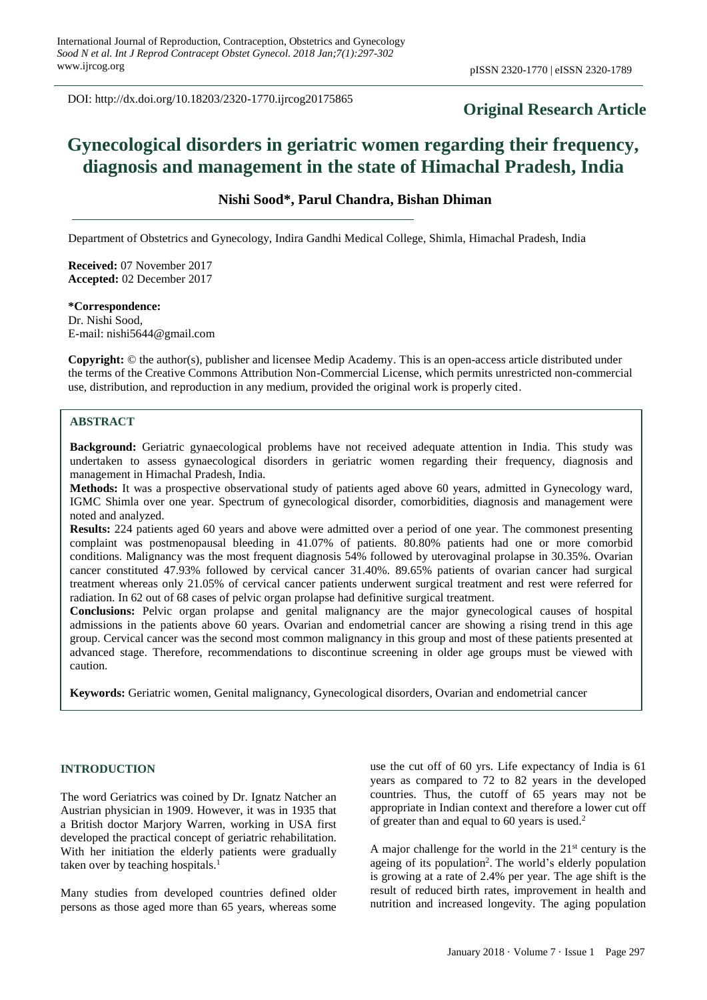DOI: http://dx.doi.org/10.18203/2320-1770.ijrcog20175865

# **Original Research Article**

# **Gynecological disorders in geriatric women regarding their frequency, diagnosis and management in the state of Himachal Pradesh, India**

## **Nishi Sood\*, Parul Chandra, Bishan Dhiman**

Department of Obstetrics and Gynecology, Indira Gandhi Medical College, Shimla, Himachal Pradesh, India

**Received:** 07 November 2017 **Accepted:** 02 December 2017

#### **\*Correspondence:** Dr. Nishi Sood, E-mail: nishi5644@gmail.com

**Copyright:** © the author(s), publisher and licensee Medip Academy. This is an open-access article distributed under the terms of the Creative Commons Attribution Non-Commercial License, which permits unrestricted non-commercial use, distribution, and reproduction in any medium, provided the original work is properly cited.

# **ABSTRACT**

**Background:** Geriatric gynaecological problems have not received adequate attention in India. This study was undertaken to assess gynaecological disorders in geriatric women regarding their frequency, diagnosis and management in Himachal Pradesh, India.

**Methods:** It was a prospective observational study of patients aged above 60 years, admitted in Gynecology ward, IGMC Shimla over one year. Spectrum of gynecological disorder, comorbidities, diagnosis and management were noted and analyzed.

**Results:** 224 patients aged 60 years and above were admitted over a period of one year. The commonest presenting complaint was postmenopausal bleeding in 41.07% of patients. 80.80% patients had one or more comorbid conditions. Malignancy was the most frequent diagnosis 54% followed by uterovaginal prolapse in 30.35%. Ovarian cancer constituted 47.93% followed by cervical cancer 31.40%. 89.65% patients of ovarian cancer had surgical treatment whereas only 21.05% of cervical cancer patients underwent surgical treatment and rest were referred for radiation. In 62 out of 68 cases of pelvic organ prolapse had definitive surgical treatment.

**Conclusions:** Pelvic organ prolapse and genital malignancy are the major gynecological causes of hospital admissions in the patients above 60 years. Ovarian and endometrial cancer are showing a rising trend in this age group. Cervical cancer was the second most common malignancy in this group and most of these patients presented at advanced stage. Therefore, recommendations to discontinue screening in older age groups must be viewed with caution.

**Keywords:** Geriatric women, Genital malignancy, Gynecological disorders, Ovarian and endometrial cancer

#### **INTRODUCTION**

The word Geriatrics was coined by Dr. Ignatz Natcher an Austrian physician in 1909. However, it was in 1935 that a British doctor Marjory Warren*,* working in USA first developed the practical concept of geriatric rehabilitation. With her initiation the elderly patients were gradually taken over by teaching hospitals.<sup>1</sup>

Many studies from developed countries defined older persons as those aged more than 65 years, whereas some use the cut off of 60 yrs. Life expectancy of India is 61 years as compared to 72 to 82 years in the developed countries. Thus, the cutoff of 65 years may not be appropriate in Indian context and therefore a lower cut off of greater than and equal to 60 years is used.<sup>2</sup>

A major challenge for the world in the  $21<sup>st</sup>$  century is the ageing of its population<sup>2</sup>. The world's elderly population is growing at a rate of 2.4% per year. The age shift is the result of reduced birth rates, improvement in health and nutrition and increased longevity. The aging population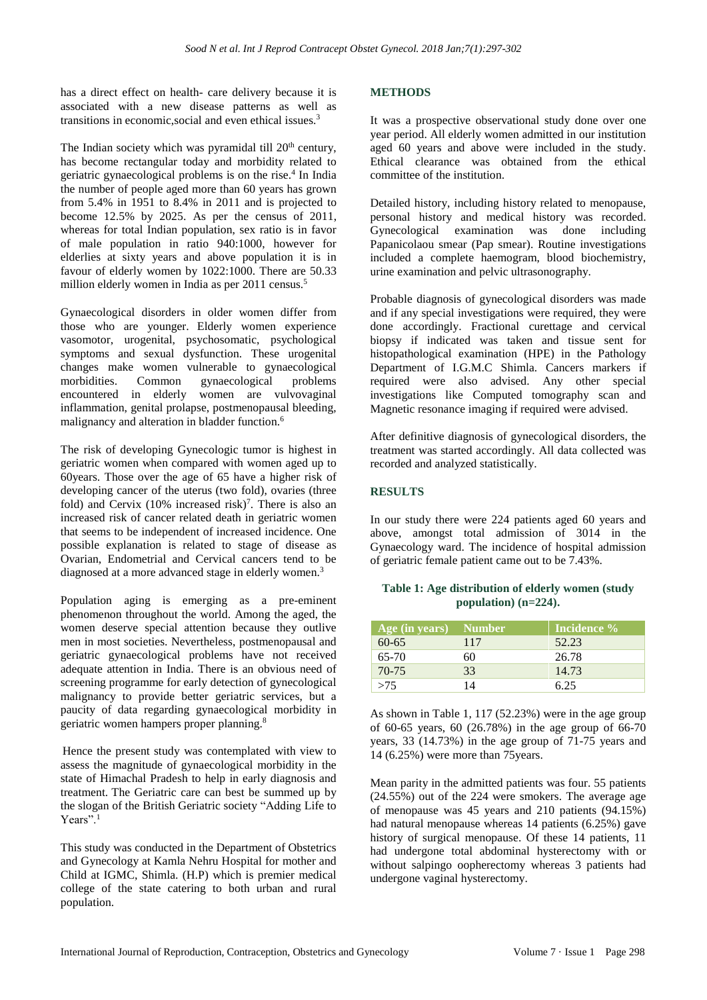has a direct effect on health- care delivery because it is associated with a new disease patterns as well as transitions in economic,social and even ethical issues.<sup>3</sup>

The Indian society which was pyramidal till  $20<sup>th</sup>$  century, has become rectangular today and morbidity related to geriatric gynaecological problems is on the rise.<sup>4</sup> In India the number of people aged more than 60 years has grown from 5.4% in 1951 to 8.4% in 2011 and is projected to become 12.5% by 2025. As per the census of 2011, whereas for total Indian population, sex ratio is in favor of male population in ratio 940:1000, however for elderlies at sixty years and above population it is in favour of elderly women by 1022:1000. There are 50.33 million elderly women in India as per 2011 census.<sup>5</sup>

Gynaecological disorders in older women differ from those who are younger. Elderly women experience vasomotor, urogenital, psychosomatic, psychological symptoms and sexual dysfunction. These urogenital changes make women vulnerable to gynaecological morbidities. Common gynaecological problems encountered in elderly women are vulvovaginal inflammation, genital prolapse, postmenopausal bleeding, malignancy and alteration in bladder function.<sup>6</sup>

The risk of developing Gynecologic tumor is highest in geriatric women when compared with women aged up to 60years. Those over the age of 65 have a higher risk of developing cancer of the uterus (two fold), ovaries (three fold) and Cervix  $(10\%$  increased risk)<sup>7</sup>. There is also an increased risk of cancer related death in geriatric women that seems to be independent of increased incidence. One possible explanation is related to stage of disease as Ovarian, Endometrial and Cervical cancers tend to be diagnosed at a more advanced stage in elderly women.<sup>3</sup>

Population aging is emerging as a pre-eminent phenomenon throughout the world. Among the aged, the women deserve special attention because they outlive men in most societies. Nevertheless, postmenopausal and geriatric gynaecological problems have not received adequate attention in India. There is an obvious need of screening programme for early detection of gynecological malignancy to provide better geriatric services, but a paucity of data regarding gynaecological morbidity in geriatric women hampers proper planning.<sup>8</sup>

Hence the present study was contemplated with view to assess the magnitude of gynaecological morbidity in the state of Himachal Pradesh to help in early diagnosis and treatment. The Geriatric care can best be summed up by the slogan of the British Geriatric society "Adding Life to Years".<sup>1</sup>

This study was conducted in the Department of Obstetrics and Gynecology at Kamla Nehru Hospital for mother and Child at IGMC, Shimla. (H.P) which is premier medical college of the state catering to both urban and rural population.

## **METHODS**

It was a prospective observational study done over one year period. All elderly women admitted in our institution aged 60 years and above were included in the study. Ethical clearance was obtained from the ethical committee of the institution.

Detailed history, including history related to menopause, personal history and medical history was recorded. Gynecological examination was done including Papanicolaou smear (Pap smear). Routine investigations included a complete haemogram, blood biochemistry, urine examination and pelvic ultrasonography.

Probable diagnosis of gynecological disorders was made and if any special investigations were required, they were done accordingly. Fractional curettage and cervical biopsy if indicated was taken and tissue sent for histopathological examination (HPE) in the Pathology Department of I.G.M.C Shimla. Cancers markers if required were also advised. Any other special investigations like Computed tomography scan and Magnetic resonance imaging if required were advised.

After definitive diagnosis of gynecological disorders, the treatment was started accordingly. All data collected was recorded and analyzed statistically.

## **RESULTS**

In our study there were 224 patients aged 60 years and above, amongst total admission of 3014 in the Gynaecology ward. The incidence of hospital admission of geriatric female patient came out to be 7.43%.

### **Table 1: Age distribution of elderly women (study population) (n=224).**

| Age (in years) | <b>Number</b> | Incidence % |
|----------------|---------------|-------------|
| $60 - 65$      | 117           | 52.23       |
| $65-70$        | 60            | 26.78       |
| $70 - 75$      | 33            | 14.73       |
| >75            | 14            | 6.25        |

As shown in Table 1, 117 (52.23%) were in the age group of 60-65 years, 60 (26.78%) in the age group of 66-70 years, 33 (14.73%) in the age group of 71-75 years and 14 (6.25%) were more than 75years.

Mean parity in the admitted patients was four. 55 patients (24.55%) out of the 224 were smokers. The average age of menopause was 45 years and 210 patients (94.15%) had natural menopause whereas 14 patients (6.25%) gave history of surgical menopause. Of these 14 patients, 11 had undergone total abdominal hysterectomy with or without salpingo oopherectomy whereas 3 patients had undergone vaginal hysterectomy.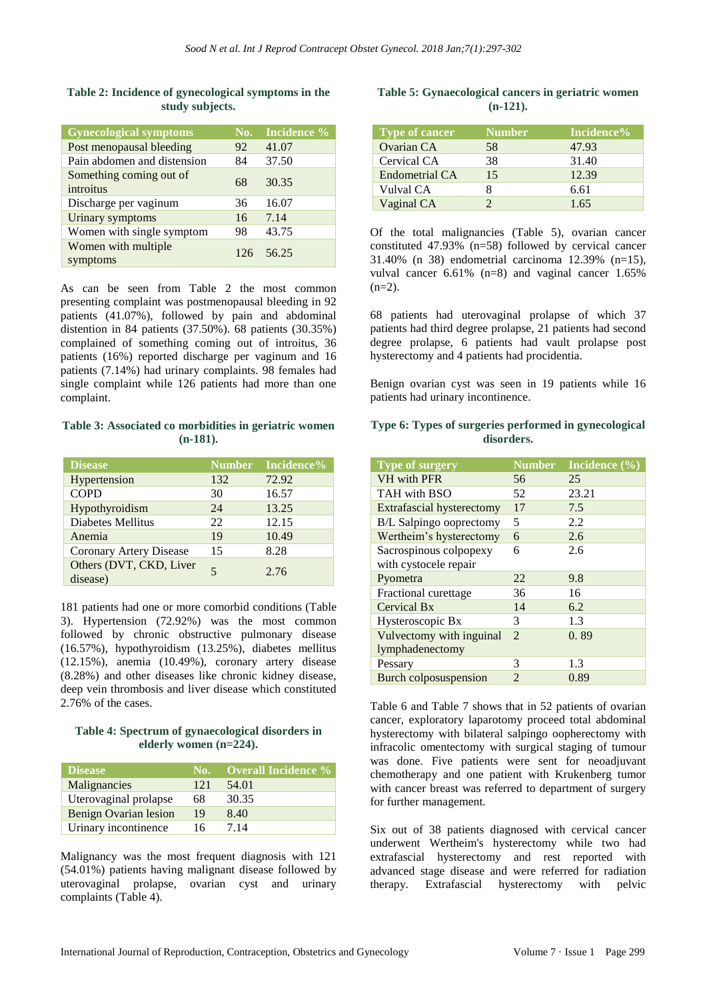#### **Table 2: Incidence of gynecological symptoms in the study subjects.**

| <b>Gynecological symptoms</b>        | No. | Incidence % |
|--------------------------------------|-----|-------------|
| Post menopausal bleeding             | 92  | 41.07       |
| Pain abdomen and distension          | 84  | 37.50       |
| Something coming out of<br>introitus | 68  | 30.35       |
| Discharge per vaginum                | 36  | 16.07       |
| Urinary symptoms                     | 16  | 7.14        |
| Women with single symptom            | 98  | 43.75       |
| Women with multiple<br>symptoms      | 126 | 56.25       |

As can be seen from Table 2 the most common presenting complaint was postmenopausal bleeding in 92 patients (41.07%), followed by pain and abdominal distention in 84 patients (37.50%). 68 patients (30.35%) complained of something coming out of introitus, 36 patients (16%) reported discharge per vaginum and 16 patients (7.14%) had urinary complaints. 98 females had single complaint while 126 patients had more than one complaint.

**Table 3: Associated co morbidities in geriatric women (n-181).**

| <b>Disease</b>                      | <b>Number</b> | Incidence% |
|-------------------------------------|---------------|------------|
| Hypertension                        | 132           | 72.92      |
| <b>COPD</b>                         | 30            | 16.57      |
| Hypothyroidism                      | 24            | 13.25      |
| Diabetes Mellitus                   | 22            | 12.15      |
| Anemia                              | 19            | 10.49      |
| Coronary Artery Disease             | 15            | 8.28       |
| Others (DVT, CKD, Liver<br>disease) |               | 2.76       |

181 patients had one or more comorbid conditions (Table 3). Hypertension (72.92%) was the most common followed by chronic obstructive pulmonary disease (16.57%), hypothyroidism (13.25%), diabetes mellitus (12.15%), anemia (10.49%), coronary artery disease (8.28%) and other diseases like chronic kidney disease, deep vein thrombosis and liver disease which constituted 2.76% of the cases.

### **Table 4: Spectrum of gynaecological disorders in elderly women (n=224).**

| <b>Disease</b>        | No. | <b>Overall Incidence <math>\%</math></b> |
|-----------------------|-----|------------------------------------------|
| Malignancies          | 121 | 54.01                                    |
| Uterovaginal prolapse | 68  | 30.35                                    |
| Benign Ovarian lesion | 19  | 8.40                                     |
| Urinary incontinence  | 16  | 7.14                                     |

Malignancy was the most frequent diagnosis with 121 (54.01%) patients having malignant disease followed by uterovaginal prolapse, ovarian cyst and urinary complaints (Table 4).

|             | Table 5: Gynaecological cancers in geriatric women |  |  |  |
|-------------|----------------------------------------------------|--|--|--|
| $(n-121)$ . |                                                    |  |  |  |

| <b>Type of cancer</b> | <b>Number</b> | Incidence% |
|-----------------------|---------------|------------|
| Ovarian CA            | 58            | 47.93      |
| Cervical CA           | 38            | 31.40      |
| Endometrial CA        | 15            | 12.39      |
| Vulval CA             |               | 6.61       |
| Vaginal CA            |               | 1.65       |

Of the total malignancies (Table 5), ovarian cancer constituted 47.93% (n=58) followed by cervical cancer 31.40% (n 38) endometrial carcinoma 12.39% (n=15), vulval cancer 6.61% (n=8) and vaginal cancer 1.65%  $(n=2)$ .

68 patients had uterovaginal prolapse of which 37 patients had third degree prolapse, 21 patients had second degree prolapse, 6 patients had vault prolapse post hysterectomy and 4 patients had procidentia.

Benign ovarian cyst was seen in 19 patients while 16 patients had urinary incontinence.

## **Type 6: Types of surgeries performed in gynecological disorders.**

| <b>Type of surgery</b>         | <b>Number</b>               | Incidence (%) |
|--------------------------------|-----------------------------|---------------|
| <b>VH</b> with PFR             | 56                          | 25            |
| TAH with BSO                   | 52                          | 23.21         |
| Extrafascial hysterectomy      | 17                          | 7.5           |
| <b>B/L Salpingo ooprectomy</b> | 5                           | 2.2           |
| Wertheim's hysterectomy        | 6                           | 2.6           |
| Sacrospinous colpopexy         | 6                           | 2.6           |
| with cystocele repair          |                             |               |
| Pyometra                       | 22                          | 9.8           |
| Fractional curettage           | 36                          | 16            |
| Cervical Bx                    | 14                          | 6.2           |
| Hysteroscopic Bx               | 3                           | 1.3           |
| Vulvectomy with inguinal       | $\mathcal{D}_{\mathcal{L}}$ | 0.89          |
| lymphadenectomy                |                             |               |
| Pessary                        | 3                           | 1.3           |
| Burch colposuspension          | $\mathfrak{D}$              | 0.89          |

Table 6 and Table 7 shows that in 52 patients of ovarian cancer, exploratory laparotomy proceed total abdominal hysterectomy with bilateral salpingo oopherectomy with infracolic omentectomy with surgical staging of tumour was done. Five patients were sent for neoadjuvant chemotherapy and one patient with Krukenberg tumor with cancer breast was referred to department of surgery for further management.

Six out of 38 patients diagnosed with cervical cancer underwent Wertheim's hysterectomy while two had extrafascial hysterectomy and rest reported with advanced stage disease and were referred for radiation therapy. Extrafascial hysterectomy with pelvic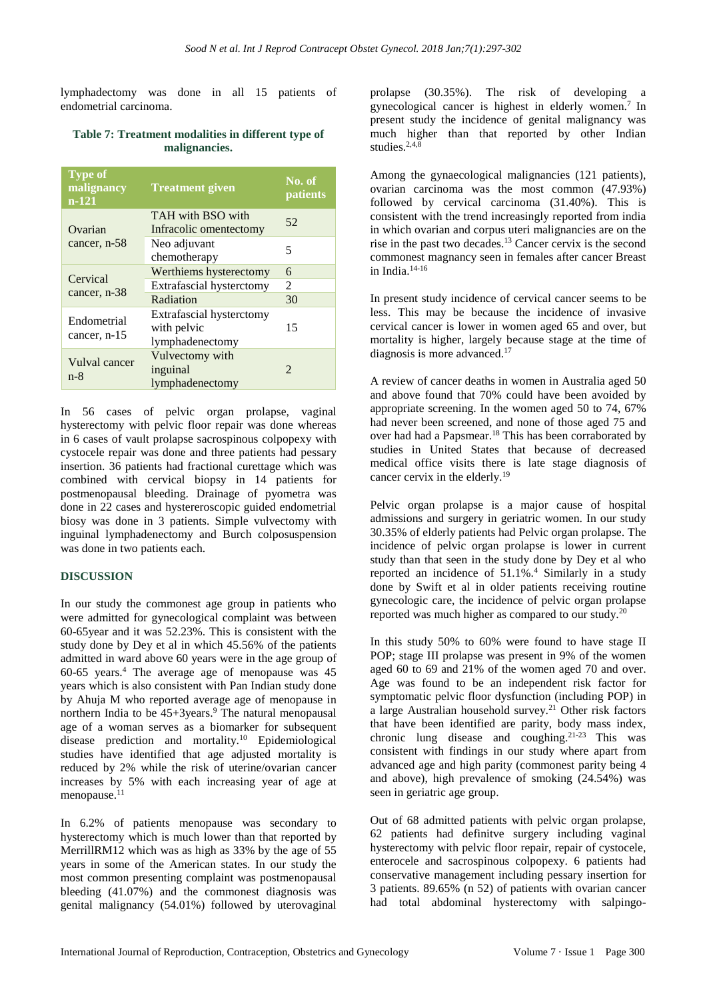lymphadectomy was done in all 15 patients of endometrial carcinoma.

#### **Table 7: Treatment modalities in different type of malignancies.**

| <b>Type of</b><br>malignancy<br>$n-121$ | <b>Treatment given</b>                                     | No. of<br>patients          |
|-----------------------------------------|------------------------------------------------------------|-----------------------------|
| Ovarian                                 | TAH with BSO with<br>Infracolic omentectomy                | 52                          |
| cancer, n-58                            | Neo adjuvant<br>chemotherapy                               | 5                           |
| Cervical<br>cancer, n-38                | Werthiems hysterectomy                                     | 6                           |
|                                         | Extrafascial hysterctomy                                   | 2                           |
|                                         | Radiation                                                  | 30                          |
| Endometrial<br>cancer, n-15             | Extrafascial hysterctomy<br>with pelvic<br>lymphadenectomy | 15                          |
| Vulval cancer<br>$n-8$                  | Vulvectomy with<br>inguinal<br>lymphadenectomy             | $\mathcal{D}_{\mathcal{L}}$ |

In 56 cases of pelvic organ prolapse, vaginal hysterectomy with pelvic floor repair was done whereas in 6 cases of vault prolapse sacrospinous colpopexy with cystocele repair was done and three patients had pessary insertion. 36 patients had fractional curettage which was combined with cervical biopsy in 14 patients for postmenopausal bleeding. Drainage of pyometra was done in 22 cases and hystereroscopic guided endometrial biosy was done in 3 patients. Simple vulvectomy with inguinal lymphadenectomy and Burch colposuspension was done in two patients each.

### **DISCUSSION**

In our study the commonest age group in patients who were admitted for gynecological complaint was between 60-65year and it was 52.23%. This is consistent with the study done by Dey et al in which 45.56% of the patients admitted in ward above 60 years were in the age group of 60-65 years.<sup>4</sup> The average age of menopause was  $45$ years which is also consistent with Pan Indian study done by Ahuja M who reported average age of menopause in northern India to be 45+3years.<sup>9</sup> The natural menopausal age of a woman serves as a biomarker for subsequent disease prediction and mortality.<sup>10</sup> Epidemiological studies have identified that age adjusted mortality is reduced by 2% while the risk of uterine/ovarian cancer increases by 5% with each increasing year of age at menopause.<sup>11</sup>

In 6.2% of patients menopause was secondary to hysterectomy which is much lower than that reported by MerrillRM12 which was as high as 33% by the age of 55 years in some of the American states. In our study the most common presenting complaint was postmenopausal bleeding (41.07%) and the commonest diagnosis was genital malignancy (54.01%) followed by uterovaginal prolapse (30.35%). The risk of developing a gynecological cancer is highest in elderly women.<sup>7</sup> In present study the incidence of genital malignancy was much higher than that reported by other Indian studies. $2,4,8$ 

Among the gynaecological malignancies (121 patients), ovarian carcinoma was the most common (47.93%) followed by cervical carcinoma (31.40%). This is consistent with the trend increasingly reported from india in which ovarian and corpus uteri malignancies are on the rise in the past two decades. <sup>13</sup> Cancer cervix is the second commonest magnancy seen in females after cancer Breast in India. 14-16

In present study incidence of cervical cancer seems to be less. This may be because the incidence of invasive cervical cancer is lower in women aged 65 and over, but mortality is higher, largely because stage at the time of diagnosis is more advanced.<sup>17</sup>

A review of cancer deaths in women in Australia aged 50 and above found that 70% could have been avoided by appropriate screening. In the women aged 50 to 74, 67% had never been screened, and none of those aged 75 and over had had a Papsmear.<sup>18</sup> This has been corraborated by studies in United States that because of decreased medical office visits there is late stage diagnosis of cancer cervix in the elderly.<sup>19</sup>

Pelvic organ prolapse is a major cause of hospital admissions and surgery in geriatric women. In our study 30.35% of elderly patients had Pelvic organ prolapse. The incidence of pelvic organ prolapse is lower in current study than that seen in the study done by Dey et al who reported an incidence of 51.1%.<sup>4</sup> Similarly in a study done by Swift et al in older patients receiving routine gynecologic care, the incidence of pelvic organ prolapse reported was much higher as compared to our study.<sup>20</sup>

In this study 50% to 60% were found to have stage II POP; stage III prolapse was present in 9% of the women aged 60 to 69 and 21% of the women aged 70 and over. Age was found to be an independent risk factor for symptomatic pelvic floor dysfunction (including POP) in a large Australian household survey.<sup>21</sup> Other risk factors that have been identified are parity, body mass index, chronic lung disease and coughing. 21-23 This was consistent with findings in our study where apart from advanced age and high parity (commonest parity being 4 and above), high prevalence of smoking (24.54%) was seen in geriatric age group.

Out of 68 admitted patients with pelvic organ prolapse, 62 patients had definitve surgery including vaginal hysterectomy with pelvic floor repair, repair of cystocele, enterocele and sacrospinous colpopexy. 6 patients had conservative management including pessary insertion for 3 patients. 89.65% (n 52) of patients with ovarian cancer had total abdominal hysterectomy with salpingo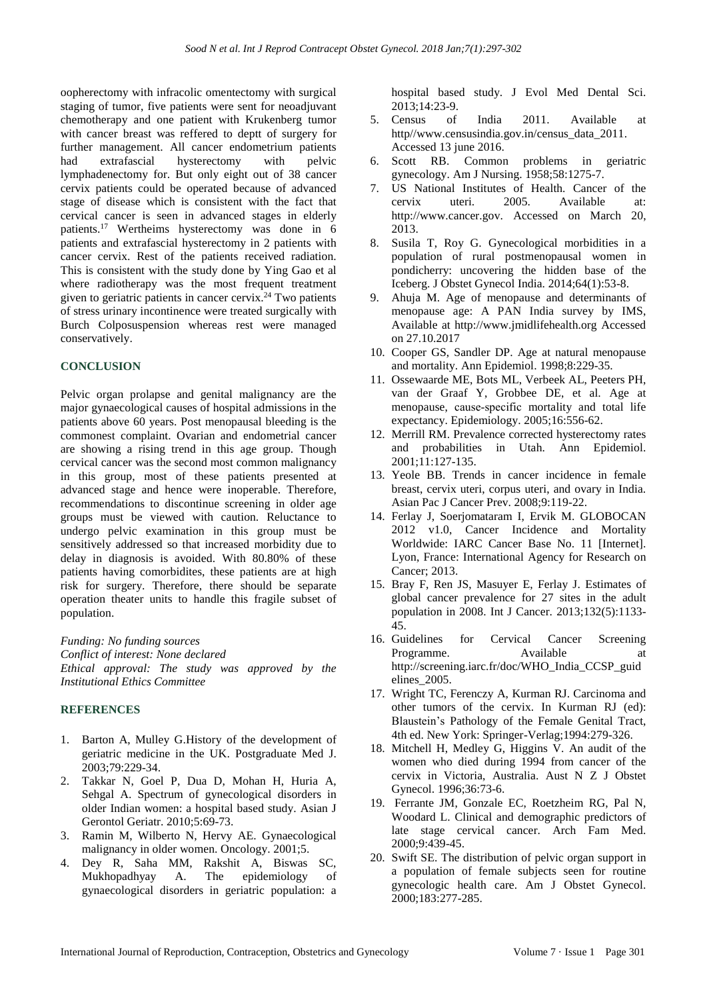oopherectomy with infracolic omentectomy with surgical staging of tumor, five patients were sent for neoadjuvant chemotherapy and one patient with Krukenberg tumor with cancer breast was reffered to deptt of surgery for further management. All cancer endometrium patients had extrafascial hysterectomy with pelvic lymphadenectomy for. But only eight out of 38 cancer cervix patients could be operated because of advanced stage of disease which is consistent with the fact that cervical cancer is seen in advanced stages in elderly patients.<sup>17</sup> Wertheims hysterectomy was done in 6 patients and extrafascial hysterectomy in 2 patients with cancer cervix. Rest of the patients received radiation. This is consistent with the study done by Ying Gao et al where radiotherapy was the most frequent treatment given to geriatric patients in cancer cervix.<sup>24</sup> Two patients of stress urinary incontinence were treated surgically with Burch Colposuspension whereas rest were managed conservatively.

## **CONCLUSION**

Pelvic organ prolapse and genital malignancy are the major gynaecological causes of hospital admissions in the patients above 60 years. Post menopausal bleeding is the commonest complaint. Ovarian and endometrial cancer are showing a rising trend in this age group. Though cervical cancer was the second most common malignancy in this group, most of these patients presented at advanced stage and hence were inoperable. Therefore, recommendations to discontinue screening in older age groups must be viewed with caution. Reluctance to undergo pelvic examination in this group must be sensitively addressed so that increased morbidity due to delay in diagnosis is avoided. With 80.80% of these patients having comorbidites, these patients are at high risk for surgery. Therefore, there should be separate operation theater units to handle this fragile subset of population.

*Funding: No funding sources Conflict of interest: None declared Ethical approval: The study was approved by the Institutional Ethics Committee*

## **REFERENCES**

- 1. Barton A, Mulley G.History of the development of geriatric medicine in the UK. Postgraduate Med J. 2003;79:229-34.
- 2. Takkar N, Goel P, Dua D, Mohan H, Huria A, Sehgal A. Spectrum of gynecological disorders in older Indian women: a hospital based study. Asian J Gerontol Geriatr. 2010;5:69-73.
- 3. Ramin M, Wilberto N, Hervy AE. Gynaecological malignancy in older women. Oncology. 2001;5.
- 4. Dey R, Saha MM, Rakshit A, Biswas SC, Mukhopadhyay A. The epidemiology of gynaecological disorders in geriatric population: a

hospital based study. J Evol Med Dental Sci. 2013;14:23-9.

- 5. Census of India 2011. Available at http//www.censusindia.gov.in/census\_data\_2011. Accessed 13 june 2016.
- 6. Scott RB. Common problems in geriatric gynecology. Am J Nursing. 1958;58:1275-7.
- 7. US National Institutes of Health. Cancer of the cervix uteri. 2005. Available at: http://www.cancer.gov. Accessed on March 20, 2013.
- 8. Susila T, Roy G. Gynecological morbidities in a population of rural postmenopausal women in pondicherry: uncovering the hidden base of the Iceberg. J Obstet Gynecol India. 2014;64(1):53-8.
- 9. Ahuja M. Age of menopause and determinants of menopause age: A PAN India survey by IMS, Available at http://www.jmidlifehealth.org Accessed on 27.10.2017
- 10. Cooper GS, Sandler DP. Age at natural menopause and mortality. Ann Epidemiol. 1998;8:229-35.
- 11. Ossewaarde ME, Bots ML, Verbeek AL, Peeters PH, van der Graaf Y, Grobbee DE, et al. Age at menopause, cause-specific mortality and total life expectancy. Epidemiology. 2005;16:556-62.
- 12. Merrill RM. Prevalence corrected hysterectomy rates and probabilities in Utah. Ann Epidemiol. 2001;11:127-135.
- 13. Yeole BB. Trends in cancer incidence in female breast, cervix uteri, corpus uteri, and ovary in India. Asian Pac J Cancer Prev. 2008;9:119-22.
- 14. Ferlay J, Soerjomataram I, Ervik M. GLOBOCAN 2012 v1.0, Cancer Incidence and Mortality Worldwide: IARC Cancer Base No. 11 [Internet]. Lyon, France: International Agency for Research on Cancer; 2013.
- 15. Bray F, Ren JS, Masuyer E, Ferlay J. Estimates of global cancer prevalence for 27 sites in the adult population in 2008. Int J Cancer. 2013;132(5):1133- 45.
- 16. Guidelines for Cervical Cancer Screening Programme. Available at http://screening.iarc.fr/doc/WHO\_India\_CCSP\_guid elines\_2005.
- 17. Wright TC, Ferenczy A, Kurman RJ. Carcinoma and other tumors of the cervix. In Kurman RJ (ed): Blaustein's Pathology of the Female Genital Tract, 4th ed. New York: Springer-Verlag;1994:279-326.
- 18. Mitchell H, Medley G, Higgins V. An audit of the women who died during 1994 from cancer of the cervix in Victoria, Australia. Aust N Z J Obstet Gynecol. 1996;36:73-6.
- 19. Ferrante JM, Gonzale EC, Roetzheim RG, Pal N, Woodard L. Clinical and demographic predictors of late stage cervical cancer. Arch Fam Med. 2000;9:439-45.
- 20. Swift SE. The distribution of pelvic organ support in a population of female subjects seen for routine gynecologic health care. Am J Obstet Gynecol. 2000;183:277-285.